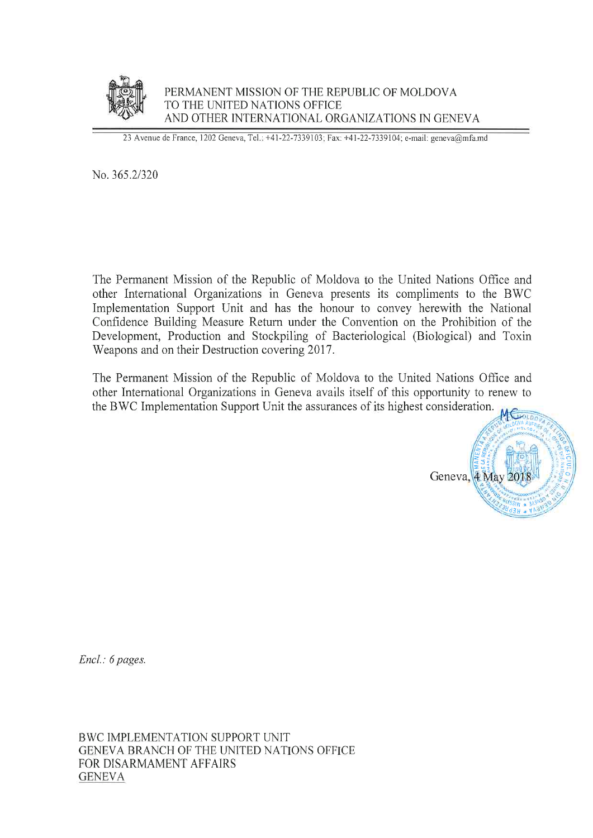

PERMANENT MISSION OF THE REPUBLIC OF MOLDOVA TO THE UNITED NATIONS OFFICE AND OTHER INTERNATIONAL ORGANIZATIONS IN GENEVA

23 Avenue de France, 1202 Geneva, Tel.: +41-22-7339103; Fax: +41-22-7339104; e-mail: geneva@mfa.md

No. 365.2/320

The Permanent Mission of the Republic of Moldova to the United Nations Office and other International Organizations in Geneva presents its compliments to the BWC Implementation Support Unit and has the honour to convey herewith the National Confidence Building Measure Return under the Convention on the Prohibition of the Development, Production and Stockpiling of Bacteriological (Biological) and Toxin Weapons and on their Destruction covering 2017.

The Permanent Mission of the Republic of Moldova to the United Nations Office and other International Organizations in Geneva avails itself of this opportunity to renew to the BWC Implementation Support Unit the assurances of its highest consideration.



Encl.: 6 pages.

BWC IMPLEMENTATION SUPPORT UNIT GENEVA BRANCH OF THE UNITED NATIONS OFFICE FOR DISARMAMENT AFFAIRS **GENEVA**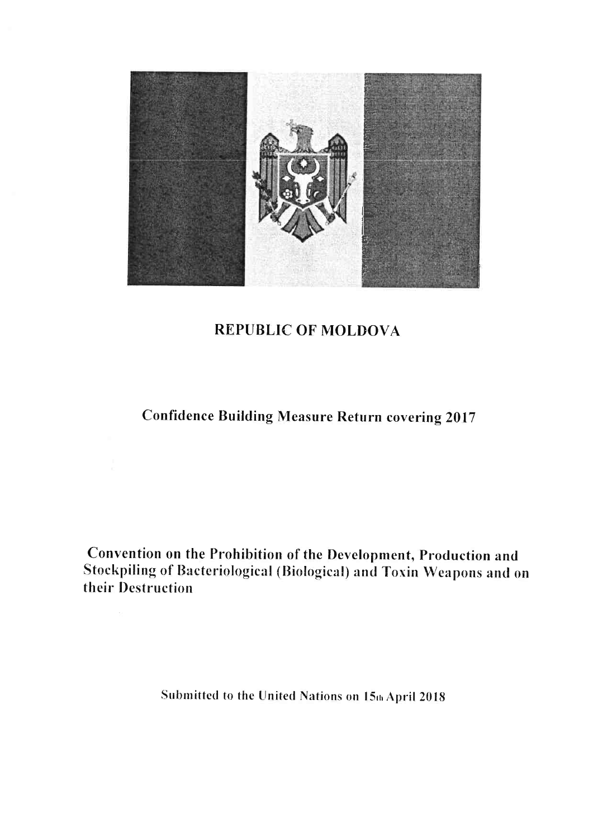

## REPUBLIC OF MOLDOVA

## Confidence Building Measure Return covering 2017

Convention on the Prohibition of the Development, Production and Stockpiling of Bacteriological (Biological) and Toxin Weapons and on their Destruction

Submitted to the United Nations on 15th April 2018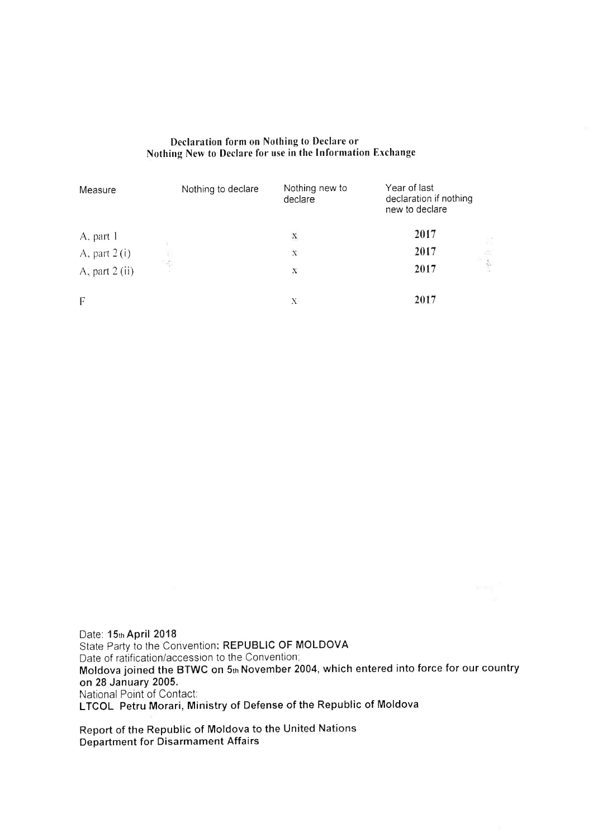| Declaration form on Nothing to Declare or                  |  |
|------------------------------------------------------------|--|
| Nothing New to Declare for use in the Information Exchange |  |

| Measure          | Nothing to declare | Nothing new to<br>declare | Year of last<br>declaration if nothing<br>new to declare |
|------------------|--------------------|---------------------------|----------------------------------------------------------|
| A, part 1        |                    | X                         | 2017                                                     |
| A, part $2(i)$   |                    | $_{\rm X}$                | 2017                                                     |
| A, part $2$ (ii) | 딱                  | N                         | 2017                                                     |
| F                |                    | Х                         | 2017                                                     |

Date: 15th April 2018 State Party to the Convention: REPUBLIC OF MOLDOVA Date of ratification/accession to the Convention: Moldova joined the BTWC on 5 $_{\rm th}$ November 2004, which entered into force for our coun on 28 January 2005. National Point of Contact: LTCOL Petru Morari, Ministry of Defense of the Republic of Moldova

Report of the Republic of Moldova to the United Nations Department for Disarmament Affairs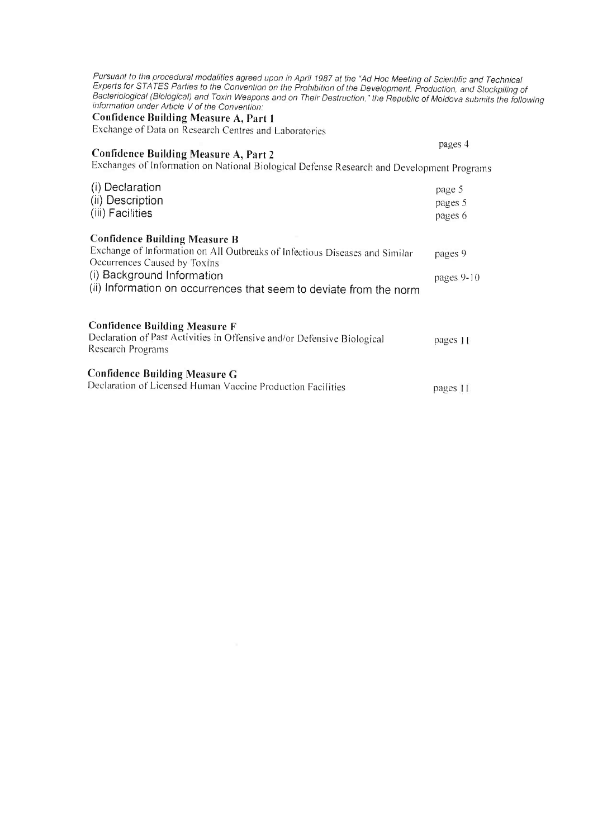| Pursuant to the procedural modalities agreed upon in April 1987 at the "Ad Hoc Meeting of Scientific and Technical<br>Experts for STATES Parties to the Convention on the Prohibition of the Development, Production, and Stockpiling of<br>Bacteriological (Biological) and Toxin Weapons and on Their Destruction," the Republic of Moldova submits the followir<br>information under Article V of the Convention:<br>Confidence Building Measure A, Part 1<br>Exchange of Data on Research Centres and Laboratories |                              |
|------------------------------------------------------------------------------------------------------------------------------------------------------------------------------------------------------------------------------------------------------------------------------------------------------------------------------------------------------------------------------------------------------------------------------------------------------------------------------------------------------------------------|------------------------------|
| <b>Confidence Building Measure A, Part 2</b><br>Exchanges of Information on National Biological Defense Research and Development Programs                                                                                                                                                                                                                                                                                                                                                                              | pages 4                      |
| (i) Declaration<br>(ii) Description<br>(iii) Facilities                                                                                                                                                                                                                                                                                                                                                                                                                                                                | page 5<br>pages 5<br>pages 6 |
| <b>Confidence Building Measure B</b><br>Exchange of Information on All Outbreaks of Infectious Diseases and Similar<br>Occurrences Caused by Toxins<br>(i) Background Information<br>(ii) Information on occurrences that seem to deviate from the norm                                                                                                                                                                                                                                                                | pages 9<br>pages $9-10$      |
| <b>Confidence Building Measure F</b><br>Declaration of Past Activities in Offensive and/or Defensive Biological<br>Research Programs                                                                                                                                                                                                                                                                                                                                                                                   | pages 11                     |
| <b>Confidence Building Measure G</b><br>Declaration of Licensed Human Vaccine Production Facilities                                                                                                                                                                                                                                                                                                                                                                                                                    | pages 11                     |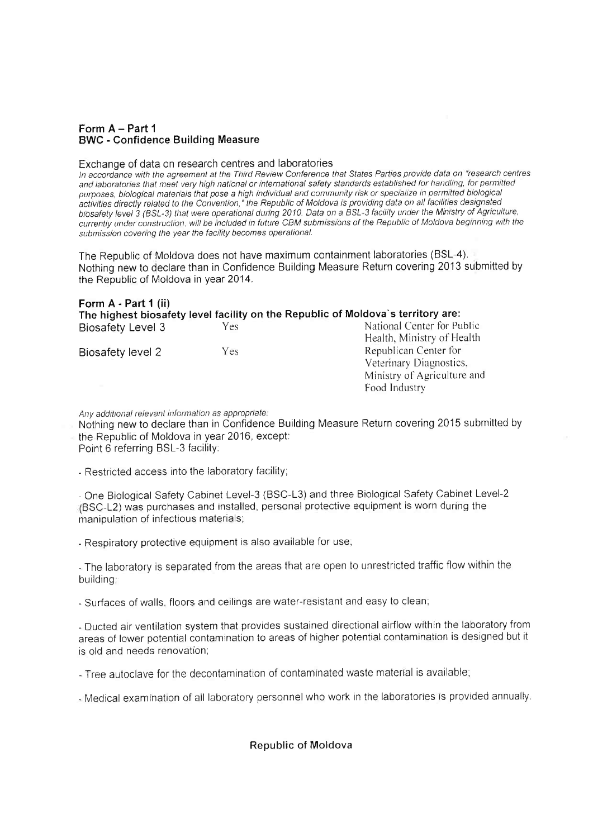#### Form A - Part 1 BWC - Confidence Building Measure

#### Exchange of data on research centres and laboratories

In accordance with the agreement at the Third Review Conference that States Parties provide data on "research centres and laboratories that meet very high national or international safety standards established for haridling, for permitted purposes, biological materials that pose a high individual and community risk or specialize in permitted biological activities directly related to the Convention," the Republic of Moldova is providing data on all facilities designated biosafety level 3 (BSL-3) that were operational during 2010. Data on a BSL-3 facility under the Ministry of Agriculture, currently under construction, will be included in future CBM submissions of the Republic of Moldova beginning with the submission covering the year the facility becomes operational.

The Republic of Moldova does not have maximum containment laboratories (BSL-4). Nothing new to declare than in Confidence Building Measure Return covering 2013 submitted by the Republic of Moldova in year 2014.

| Form A - Part 1 (ii) |     | The highest biosafety level facility on the Republic of Moldova's territory are: |
|----------------------|-----|----------------------------------------------------------------------------------|
| Biosafety Level 3    | Yes | National Center for Public                                                       |
|                      |     | Health, Ministry of Health                                                       |
| Biosafety level 2    | Yes | Republican Center for                                                            |
|                      |     | Veterinary Diagnostics,                                                          |
|                      |     | Ministry of Agriculture and                                                      |
|                      |     | Food Industry                                                                    |

Any additional relevant information as appropriate!

Nothing new to declare than in Confidence Building Measure Return covering 2015 submitted by the Republic of Moldova in year 2016, except:

Point 6 referring BSL-3 facility:

- Restricted access into the laboratory facility;

- One Biological Safety Cabinet Level-3 (BSC-L3) and three Biological Safety Cabinet Level-2 (BSC-L2) was purchases and installed, personal protective equipment is worn during the manipulation of infectious materials;

- Respiratory protective equipment is also available for use;

- The laboratory is separated from the areas that are open to unrestricted traffic flow within the building;

- Surfaces of walls, floors and ceilings are water-resistant and easy to clean;

- Ducted air ventilation system that provides sustained directional airflow within the laboratory from areas of lower potential contamination to areas of higher potential contamination is designed but it is old and needs renovation:

- Tree autoclave for the decontamination of contaminated waste material is available;

- Medical examination of all laboratory personnel who work in the laboratories is provided annually.

Republic of Moldova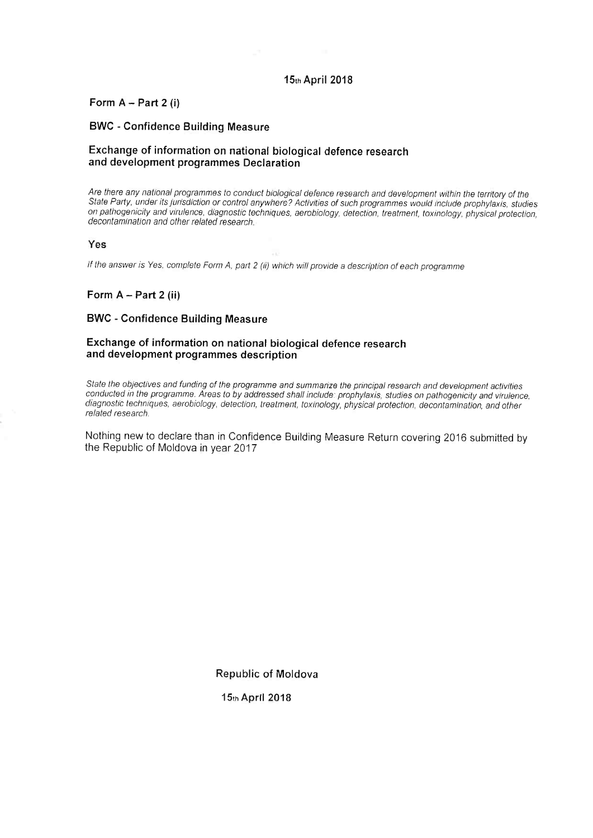#### 15thApril 2018

#### Form  $A - Part 2$  (i)

#### BWC - Confidence Building Measure

#### Exchange of information on national biological defence research and development programmes Declaration

Are there any national programmes to conduct biological defence research and development within the territory of the State Party, under its jurisdiction or control anywhere? Activities of such programmes would include prophylaxis, studies on pathogenicity and virulence, diagnostic techniques, aerobiology, detection, treatment, toxinology, physical protection, decontamination and other related research.

#### Yes

If the answer is Yes, complete Form A, part 2 (ii) which will provide a description of each programme

#### Form  $A - Part 2$  (ii)

#### BWC - Confidence Building Measure

#### Exchange of information on national biological defence research and development programmes description

State the objectives and funding of the programme and summarize the principal research and development activities conducted in the programme. Areas to by addressed shall include: prophylaxis, studies on pathogenicity and virulence, diagnostic techniques, aerobiology, detection, treatment, toxinology, physical protection, decontamination, and other related research

Nothing new to declare than in Confidence Building Measure Return covering 2016 submitted by the Republic of Moldova in year 2017

Republic of Moldova

15thApril 2018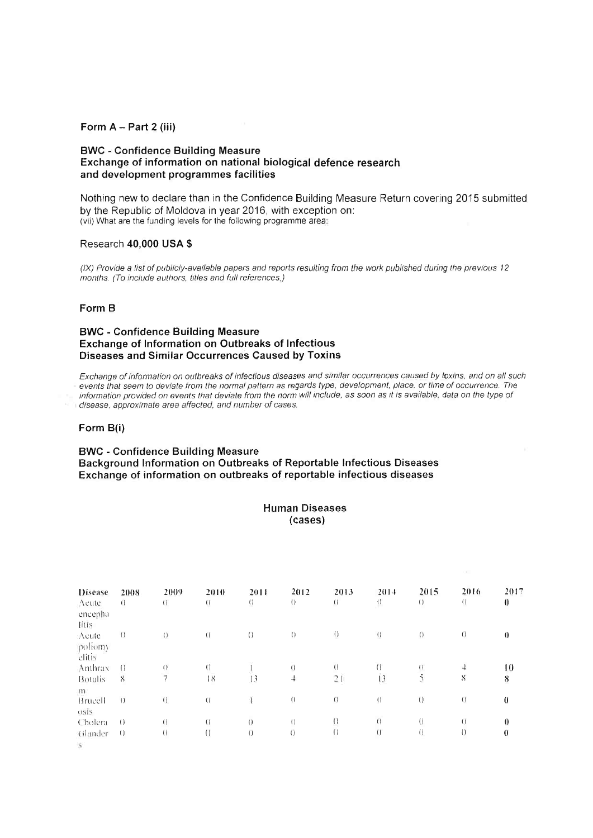#### Form A - Part 2 (iii)

#### **BWC - Confidence Building Measure** Exchange of information on national biological defence research and development programmes facilities

Nothing new to declare than in the Confidence Building Measure Return covering 2015 submitted by the Republic of Moldova in year 2016, with exception on: (vii) What are the funding levels for the following programme area:

#### Research 40,000 USA \$

(IX) Provide a list of publicly-available papers and reports resulting from the work published during the previous 12 months. (To include authors, titles and full references.)

#### Form B

#### **BWC - Confidence Building Measure** Exchange of Information on Outbreaks of Infectious Diseases and Similar Occurrences Caused by Toxins

Exchange of information on outbreaks of infectious diseases and similar occurrences caused by toxins, and on all such events that seem to deviate from the normal pattern as regards type, development, place, or time of occurrence. The information provided on events that deviate from the norm will include, as soon as it is available, data on the type of disease, approximate area affected, and number of cases.

#### Form B(i)

#### **BWC - Confidence Building Measure** Background Information on Outbreaks of Reportable Infectious Diseases Exchange of information on outbreaks of reportable infectious diseases

| <b>Human Diseases</b> |
|-----------------------|
| (cases)               |

| <b>Disease</b><br>Acute<br>encepha | 2008<br>$\overline{0}$ | 2009<br>$\bigcup$        | 2010<br>$\Omega$ | 2011<br>$\bigcap$ | 2012<br>$\left( \right)$ | 2013<br>$\left( \right)$ | 2014<br>$\bigcap$ | 2015<br>$\left( \right)$ | 2016<br>$\left( \right)$ | 2017<br>$\bf{0}$ |
|------------------------------------|------------------------|--------------------------|------------------|-------------------|--------------------------|--------------------------|-------------------|--------------------------|--------------------------|------------------|
| litis.                             |                        |                          |                  |                   |                          |                          |                   |                          |                          |                  |
| Acute<br>poliomy<br>elitis         | $\left( \right)$       | $\left( \right)$         | $\left( \right)$ | $\left( \right)$  | $\left( \right)$         | $\left( \right)$         | $\left( \right)$  | $\bigcap$                | $\left($                 | 0                |
| Anthrax                            | $\bigcirc$             | $\left( \right)$         | $\left($         |                   | $\left($                 | $\left( \right)$         | $\left( \right)$  | $\bigoplus$              | $\overline{1}$           | 10               |
| <b>Botulis</b><br>m                | $8\overline{)}$        | $\overline{\phantom{a}}$ | 18               | 13                | $\overline{\phantom{a}}$ | 21                       | 13                | 5                        | 8                        | 8                |
| Brucell<br>osis                    | $\left( \right)$       | $\left( \right)$         | $\left( \right)$ |                   | $\left( \right)$         | $\overline{()}$          | $\left( \right)$  | $\left( \right)$         | $\left($                 | $\theta$         |
| Cholera                            | $\left( \right)$       | $\theta$                 | $\overline{()}$  | $\Box$            | $\left( \right)$         | $\left( \right)$         | $\theta$          | $\left( \right)$         | $\bigcap$                |                  |
| Glander<br>San Corp.               | $\left( \right)$       | ( )                      | $\bigcirc$       | $\overline{()}$   | ()                       | $\left( \right)$         | $\left( \right)$  | $\left( \right)$         | $\left( \right)$         | $\theta$         |

 $\mathcal{S}$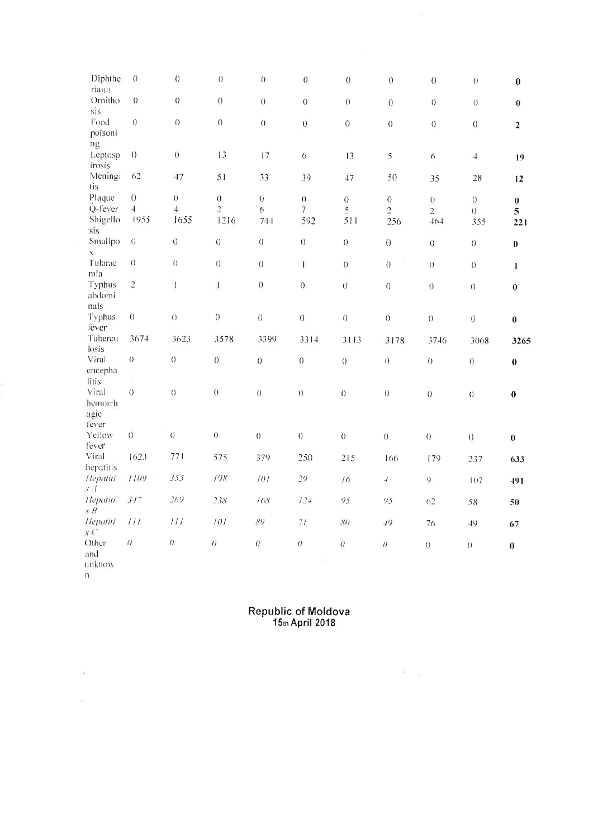| Diphthe                                   | $\overline{0}$   | $\theta$                         | $\theta$         | $\left\{ {}\right\}$ | $\boldsymbol{0}$   | $\theta$         | $\theta$         | $\theta$                     | $\theta$         | $\bf{0}$                |
|-------------------------------------------|------------------|----------------------------------|------------------|----------------------|--------------------|------------------|------------------|------------------------------|------------------|-------------------------|
| riam<br>Ornitho                           | $\overline{0}$   | $\overline{0}$                   | $\overline{0}$   | $\overline{0}$       | $\theta$           | $\overline{O}$   | $\overline{0}$   | $\theta$                     | $\overline{0}$   | $\pmb{0}$               |
| sis<br>Food<br>poisoni                    | $\Theta$         | $\theta$                         | $\overline{0}$   | $\overline{0}$       | $\overline{0}$     | $\theta$         | $\boldsymbol{0}$ | $\overline{0}$               | $\sigma$         | $\overline{2}$          |
| ng<br>Leptosp<br>irosis                   | $\overline{0}$   | $\overline{0}$                   | 13               | 17                   | 6                  | 13               | 5                | $\sqrt{6}$                   | $\overline{1}$   | 19                      |
| Meningi<br>tis                            | 62               | 47                               | 51               | 33                   | 39                 | 47               | 50               | 35                           | 28               | 12                      |
| Plaque                                    | $\overline{0}$   | $\theta$                         | $\theta$         | $\overline{0}$       | $\overline{0}$     | $\boldsymbol{0}$ | $\boldsymbol{0}$ | $\theta$                     | $\overline{0}$   | $\pmb{0}$               |
| Q-fever                                   | $\ddot{+}$       | $\overline{4}$                   | $\overline{2}$   | 6                    | $\overline{7}$     | 5                | $\overline{2}$   | $\overline{2}$               | $\theta$         | 5                       |
| Shigello<br>sis                           | 1955             | 1655                             | 1216             | 744                  | 592                | 511              | 256              | 464                          | 355              | 221                     |
| Smallpo<br>$\mathbf{X}$                   | $\theta$         | $\theta$                         | $\theta$         | $\overline{0}$       | $\theta$           | $\overline{0}$   | $\theta$         | $\overline{0}$               | $\boldsymbol{0}$ | $\bf{0}$                |
| Tularae<br>mia                            | $\theta$         | $\theta$                         | $\theta$         | $\sigma$             | E                  | $\overline{0}$   | $\overline{0}$   | $\overline{O}$               | $\overline{0}$   | $\mathbf{I}$            |
| Typhus<br>abdomi<br>nals                  | $\overline{c}$   | $\begin{array}{c} 1 \end{array}$ | $\mathfrak l$    | $\overline{0}$       | $\overline{0}$     | $\overline{0}$   | $\overline{0}$   | $\overline{O}$               | $\theta$         | $\bf{0}$                |
| Typhus<br>fever                           | $\boldsymbol{0}$ | $\theta$                         | $\overline{0}$   | $\overline{0}$       | $\theta$           | $\theta$         | $\overline{0}$   | $\theta$                     | $\theta$         | $\pmb{0}$               |
| Tubercu<br>losis                          | 3674             | 3623                             | 3578             | 3399                 | 3314               | 3113             | 3178             | 3746                         | 3068             | 3265                    |
| Viral<br>encepha<br>litis                 | $\theta$         | $\theta$                         | $\theta$         | $\overline{0}$       | $\theta$           | $\overline{0}$   | $\overline{0}$   | $\overline{O}$               | $\overline{0}$   | $\bf{0}$                |
| Viral<br>hemorrh<br>agic<br>fever         | $\overline{0}$   | $\overline{O}$                   | $\overline{0}$   | $\overline{0}$       | $\overline{0}$     | $\theta$         | $\theta$         | $\Omega$                     | $\overline{O}$   | $\bf{0}$                |
| Yellow<br>fever                           | $\overline{0}$   | $\Theta$                         | $\boldsymbol{0}$ | $\theta$             | $\overline{0}$     | $\theta$         | $\overline{0}$   | $\left\langle \right\rangle$ | $\overline{0}$   | $\overline{\mathbf{0}}$ |
| Viral<br>hepatitis                        | 1623             | 771                              | 575              | 379                  | 250                | 215              | 166              | 179                          | 237              | 633                     |
| Hepatiti<br>s <sub>r</sub>                | 1109             | 355                              | 198              | 101                  | 29                 | 16               | $\overline{t}$   | $\mathfrak{c}$               | 107              | 491                     |
| Hepatiti<br>$\overline{s}$ $\overline{B}$ | 347              | 269                              | 238              | 168                  | 124                | 95               | 95               | 62                           | 58               | 50                      |
| Hepatiti<br>sC                            | $\cal III$       | $\cal III$                       | 101              | 89                   | $7\,I$             | SO               | $\sqrt{q}$       | 76                           | 49               | 67                      |
| Other<br>and<br>unknow                    | $\theta$         | $\theta$                         | $\theta$         | $\theta$             | $\theta$<br>$\sim$ | $\theta$         | $\theta$         | $\theta$                     | $\overline{O}$   | $\bf{0}$                |

 $122\,$ 

 $\frac{1}{11}$ 

 $\mathcal{F}^{\mathcal{F}}$ 

# Republic of Moldova<br>15th April 2018

 $\mathbb{R}^n \times \mathbb{R}^n$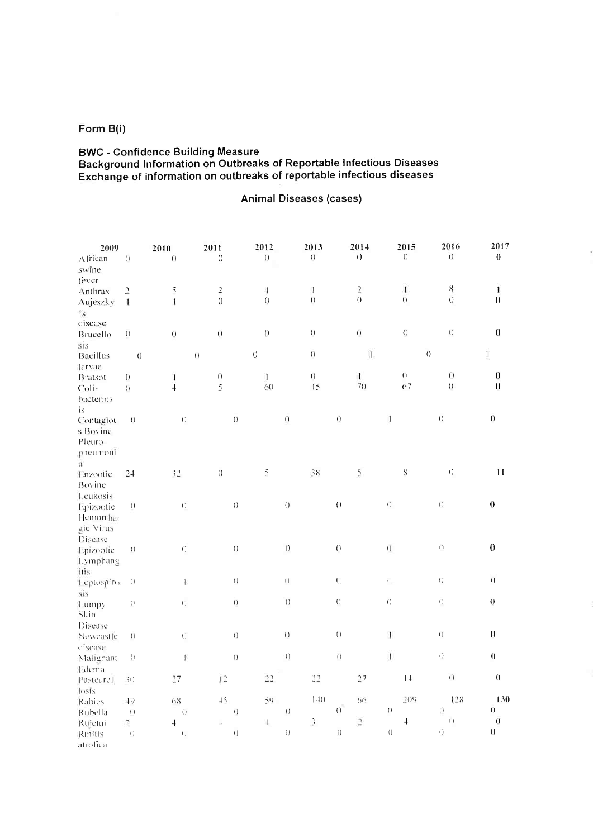## Form B(i)

## **BWC - Confidence Building Measure** Background Information on Outbreaks of Reportable Infectious Diseases<br>Exchange of information on outbreaks of reportable infectious diseases

### Animal Diseases (cases)

| 2009               |                                | 2010                | 2011                     |                                    | 2012                 |                                                             | 2013                  |                                | 2014                                                                                       |                  | 2015               | 2016                  | 2017                    |
|--------------------|--------------------------------|---------------------|--------------------------|------------------------------------|----------------------|-------------------------------------------------------------|-----------------------|--------------------------------|--------------------------------------------------------------------------------------------|------------------|--------------------|-----------------------|-------------------------|
| African            | $\theta$                       | $\overline{O}$      | $\theta$                 |                                    | $\left( \right)$     |                                                             | $\Theta$              |                                | $\left(\right)$                                                                            |                  | $\Omega$           | $\theta$              | $\pmb{0}$               |
| swine              |                                |                     |                          |                                    |                      |                                                             |                       |                                |                                                                                            |                  |                    |                       |                         |
| fever              |                                |                     |                          |                                    |                      |                                                             |                       |                                |                                                                                            |                  |                    |                       |                         |
| Anthrax            | $\overline{\mathbf{c}}$        | $\overline{5}$      | $\overline{c}$           |                                    | 4                    |                                                             | J.                    |                                | $\overline{c}$                                                                             |                  | $\mathbf{I}$       | 8                     | 1                       |
| Aujeszky           | $\mathbb{I}$                   | $\mathbf{1}$        | $\overline{0}$           |                                    | $\theta$             |                                                             | $\overline{0}$        |                                | $\theta$                                                                                   |                  | $\overline{()}$    | $\overline{O}$        | $\boldsymbol{0}$        |
| $\cdot$ s          |                                |                     |                          |                                    |                      |                                                             |                       |                                |                                                                                            |                  |                    |                       |                         |
| disease            |                                |                     |                          |                                    |                      |                                                             |                       |                                |                                                                                            |                  |                    |                       |                         |
| Brucello           | $\left\langle {}\right\rangle$ | $\overline{0}$      | $\overline{()}$          |                                    | $\left( \right)$     |                                                             | $\theta$              |                                | $\overline{()}$                                                                            |                  | $\left( \right)$   | $\theta$              | $\bf{0}$                |
| sis                |                                |                     |                          |                                    |                      |                                                             |                       |                                |                                                                                            |                  |                    |                       |                         |
| <b>Bacillus</b>    | $\overline{0}$                 |                     | $\theta$                 |                                    | $\overline{O}$       |                                                             | $\overline{\text{O}}$ |                                | $\mathbf{I}% _{t}\left  \mathbf{I}_{t}\right  =\mathbf{I}_{t}\left  \mathbf{I}_{t}\right $ |                  | $\left( \right)$   |                       | Ï,                      |
| larvae             |                                |                     |                          |                                    |                      |                                                             |                       |                                |                                                                                            |                  |                    |                       |                         |
| <b>Bratsot</b>     | $\overline{0}$                 | $\mathbf{I}$        | $\bigcirc$               |                                    | $\mathbf{I}$         |                                                             | $\Theta$              |                                | $\mathbf{1}$                                                                               |                  | $\theta$           | 0                     | $\bf{0}$                |
| Coli-              | 6                              | $\overline{1}$      | $\overline{5}$           |                                    | 6()                  |                                                             | $+5$                  |                                | 70                                                                                         |                  | 67                 | 0                     | $\bf{0}$                |
| bacterios          |                                |                     |                          |                                    |                      |                                                             |                       |                                |                                                                                            |                  |                    |                       |                         |
| is                 |                                |                     |                          |                                    |                      |                                                             |                       |                                |                                                                                            |                  |                    |                       | $\bf{0}$                |
| Contagiou          | $\bigcirc$                     | $\theta$            |                          | $\overline{()}$                    |                      | $\overline{0}$                                              |                       | $\theta$                       |                                                                                            | 1                |                    | $\left(\right)$       |                         |
| s Bovine           |                                |                     |                          |                                    |                      |                                                             |                       |                                |                                                                                            |                  |                    |                       |                         |
| Pleuro-            |                                |                     |                          |                                    |                      |                                                             |                       |                                |                                                                                            |                  |                    |                       |                         |
| pneumoni           |                                |                     |                          |                                    |                      |                                                             |                       |                                |                                                                                            |                  |                    |                       |                         |
| $\mathfrak{a}$     |                                | 32                  | $\left(\right)$          |                                    | $\tilde{\mathbb{C}}$ |                                                             | 38                    |                                | $\tilde{5}$                                                                                |                  | $8\,$              | $\left( \right)$      | $\mathbf{I}$            |
| Enzootic           | 24                             |                     |                          |                                    |                      |                                                             |                       |                                |                                                                                            |                  |                    |                       |                         |
| Bovine<br>Leukosis |                                |                     |                          |                                    |                      |                                                             |                       |                                |                                                                                            |                  |                    |                       |                         |
| Epizootic          | $\cup$                         | $\overline{\Omega}$ |                          | $\overline{()}$                    |                      | $\left\langle {}\right\rangle$                              |                       | $\left\langle {}\right\rangle$ |                                                                                            | $\big($          |                    | $\left( \right)$      | $\boldsymbol{0}$        |
| Hemorrha           |                                |                     |                          |                                    |                      |                                                             |                       |                                |                                                                                            |                  |                    |                       |                         |
| gic Virus          |                                |                     |                          |                                    |                      |                                                             |                       |                                |                                                                                            |                  |                    |                       |                         |
| Disease            |                                |                     |                          |                                    |                      |                                                             |                       |                                |                                                                                            |                  |                    |                       |                         |
| Epizootic          | $\left( \right)$               | $\left( \right)$    |                          | $\left( \right)$                   |                      | $\Theta$                                                    |                       | $\theta$                       |                                                                                            | $\Theta$         |                    | $\left( \right)$      | $\boldsymbol{0}$        |
| Lymphang           |                                |                     |                          |                                    |                      |                                                             |                       |                                |                                                                                            |                  |                    |                       |                         |
| itis               |                                |                     |                          |                                    |                      |                                                             |                       |                                |                                                                                            |                  |                    |                       |                         |
| Leptospiro.        | $\left(\cdot\right)$           | Ï.                  |                          | $\left\langle \cdot \right\rangle$ |                      | $\left(\cdot\right)$                                        |                       | $\cup$                         |                                                                                            | $\{\,\}$         |                    | $\overline{()}$       | $\overline{0}$          |
| sis                |                                |                     |                          |                                    |                      |                                                             |                       |                                |                                                                                            |                  |                    |                       |                         |
| Lumpy              | $\left( \right)$               | $\overline{()}$     |                          | $\hbox{O}$                         |                      | $\left\langle {}\right\rangle$                              |                       | $\cup$                         |                                                                                            | $\left( \right)$ |                    | $\overline{()}$       | $\theta$                |
| Skin               |                                |                     |                          |                                    |                      |                                                             |                       |                                |                                                                                            |                  |                    |                       |                         |
| Disease            |                                |                     |                          |                                    |                      |                                                             |                       |                                |                                                                                            |                  |                    |                       |                         |
| Newcastle          | $\left( \right)$               | $\left( \right)$    |                          | $\theta$                           |                      | $\begin{array}{c} \begin{array}{c} \end{array} \end{array}$ |                       | $\overline{()}$                |                                                                                            | $\mathbf{1}$     |                    | $\overline{()}$       | $\theta$                |
| disease            |                                |                     |                          |                                    |                      |                                                             |                       |                                |                                                                                            |                  |                    |                       |                         |
| Malignant          | $\left( \right)$               | ŧ                   |                          | $\cup$                             |                      | $\left\langle {}\right\rangle$                              |                       | $\overline{()}$                |                                                                                            | $\mathbf{I}$     |                    | $\bigcap$             | $\overline{0}$          |
| Edema              |                                |                     |                          |                                    |                      |                                                             |                       |                                |                                                                                            |                  |                    |                       |                         |
| Pasteurel          | 3()                            | 27                  | 12                       |                                    | 22                   |                                                             | 22                    |                                | 27                                                                                         |                  | $\vert \downarrow$ | $\left(\cdot\right)$  | $\boldsymbol{0}$        |
| losis              |                                |                     |                          |                                    |                      |                                                             |                       |                                |                                                                                            |                  |                    |                       |                         |
| Rabies             | 49                             | $68$                | 45                       |                                    | 59                   |                                                             | $1 - 1()$             |                                | 66                                                                                         |                  | 209                | 128                   | 130                     |
| Rubella            | $\bigcirc$                     | $\bigcap$           |                          | $\theta$                           |                      | $\left( \right)$                                            |                       | $\overline{()}$                |                                                                                            | $\left( \right)$ |                    | $\Omega$              | $\overline{\mathbf{0}}$ |
| Rujetul            | $\overline{a}$                 | $\downarrow$        | $\overline{\mathcal{A}}$ |                                    | $\ddot{\phantom{1}}$ |                                                             | $\mathfrak{Z}$        |                                | $\mathfrak{1}$                                                                             |                  | $\overline{+}$     | $\left( \, \right)$   | $\overline{\mathbf{0}}$ |
| Rinitis            | $\left( \right)$               | $\left(\right)$     |                          | $\left(\right)$                    |                      | $\left\{ \right\}$                                          |                       | $\left( \right)$               |                                                                                            | $\left( \right)$ |                    | $\overline{\text{O}}$ | $\boldsymbol{0}$        |
| atrofica           |                                |                     |                          |                                    |                      |                                                             |                       |                                |                                                                                            |                  |                    |                       |                         |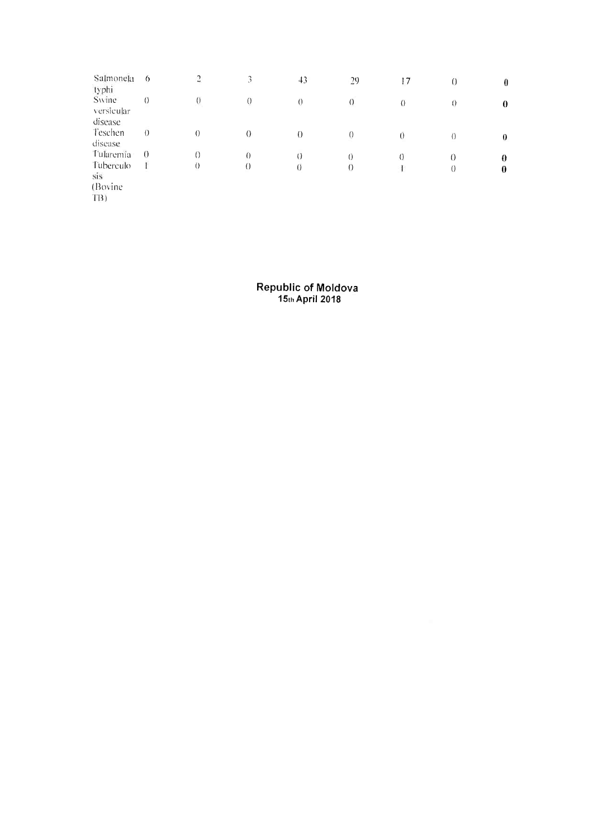| Salmonela<br>typhi  | 6        | $\overline{c}$ | 3              | 43       | 29         | 17       | $\theta$       | $\bf{0}$ |
|---------------------|----------|----------------|----------------|----------|------------|----------|----------------|----------|
| Swine<br>versieular | $\sigma$ |                | $\overline{0}$ | $\left($ | $\bigcirc$ | $\left($ | $\theta$       | $\theta$ |
| disease             |          |                |                |          |            |          |                |          |
| Teschen             | $\theta$ | $\theta$       | 0              | 0        | $\theta$   |          | $\left($       | 0        |
| disease             |          |                |                |          |            |          |                |          |
| Tularemia           | $\theta$ | $\bigcirc$     | $\left($       | $\sigma$ | 0          | 0        | 0              | $\theta$ |
| Tuberculo           |          | $\theta$       | 0              | $\theta$ | $\theta$   |          | $\overline{0}$ | $\bf{0}$ |
| sis                 |          |                |                |          |            |          |                |          |
| (Bovine)            |          |                |                |          |            |          |                |          |
| TB)                 |          |                |                |          |            |          |                |          |

Republic of Moldova<br>15th April 2018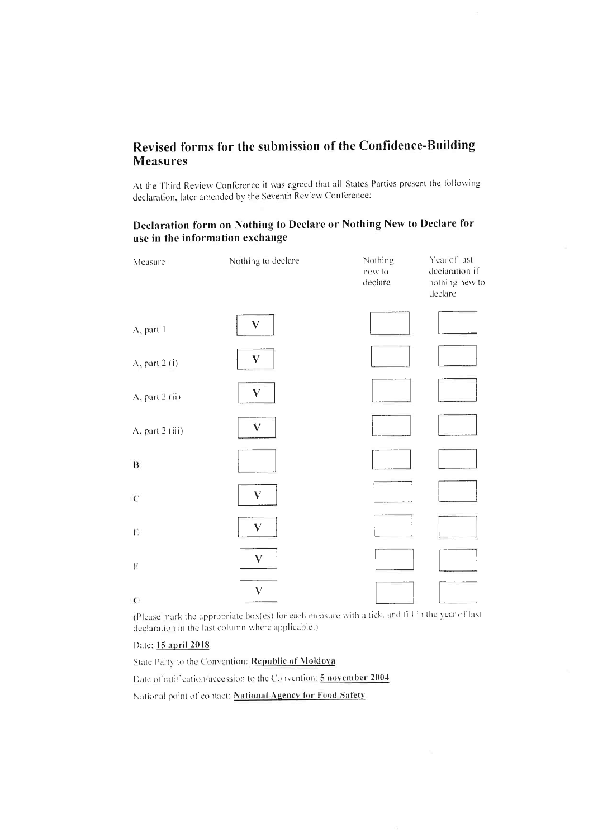## Revised forms for the submission of the Confidence-Building **Measures**

At the Third Review Conference it was agreed that all States Parties present the following declaration, later amended by the Seventh Review Conference:

### Declaration form on Nothing to Declare or Nothing New to Declare for use in the information exchange

| Measure                 | Nothing to declare        | Nothing<br>new to<br>declare | Year of last<br>declaration if<br>nothing new to<br>declare |
|-------------------------|---------------------------|------------------------------|-------------------------------------------------------------|
| A, part 1               | $\boldsymbol{\mathrm{V}}$ |                              |                                                             |
| A, part 2 (i)           | $\boldsymbol{\mathrm{V}}$ |                              |                                                             |
| $\Lambda$ , part 2 (ii) | V                         |                              |                                                             |
| A, part 2 (iii)         | $\bar{\mathbf{V}}$        |                              |                                                             |
| $\sf{B}$                |                           |                              |                                                             |
| $\mathcal{C}$           | $\bar{\mathbf{V}}$        |                              |                                                             |
| $\frac{1}{2}$ .         | $\boldsymbol{\mathsf{V}}$ |                              |                                                             |
| Ħ                       | $\bf V$                   |                              |                                                             |
| $\mathsf{G}$            | V                         |                              |                                                             |

(Please mark the appropriate box(es) for each measure with a tick, and fill in the year of last declaration in the last column where applicable.)

#### Date: 15 april 2018

State Party to the Convention: Republic of Moldova

Date of ratification/accession to the Convention: 5 november 2004

National point of contact: National Agency for Food Safety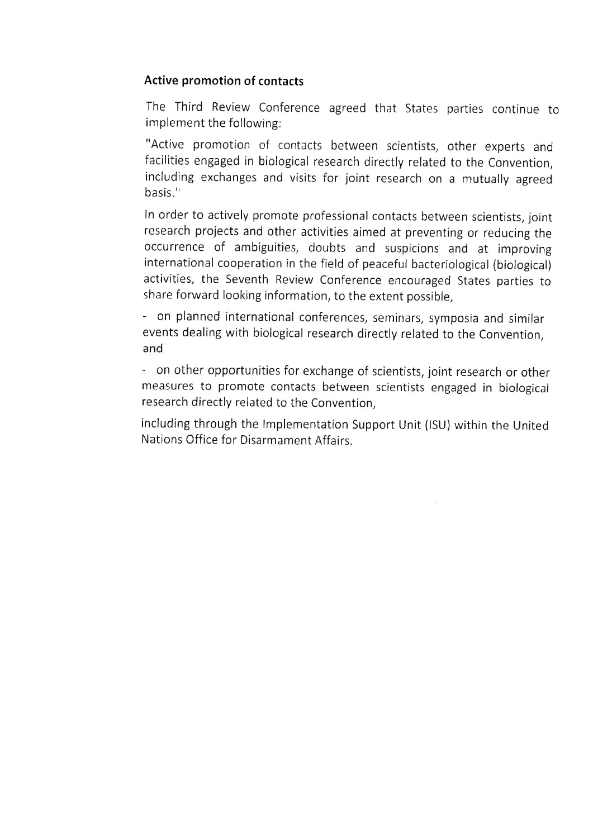## Active promotion of contacts

The Third Review Conference agreed that States parties continue to implement the following:

"Active promotion of contacts between scientists, other experts and facilities engaged in biological research directly related to the Convention, including exchanges and visits for joint research on a mutually agreed basis."

In order to actively promote professional contacts between scientists, joint research projects and other activities aimed at preventing or reducing the occurrence of ambiguities, doubts and suspicions and at improving international cooperation in the field of peaceful bacteriological (biological) activities, the Seventh Review Conference encouraged States parties to share forward looking information, to the extent possible,

on planned international conferences, seminars, symposia and similar events dealing with biological research directly related to the Convention, and

on other opportunities for exchange of scientists, joint research or other measures to promote contacts between scientists engaged in biological research directly related to the Convention,

including through the Implementation Support Unit (ISU) within the United Nations Office for Disarmament Affairs.